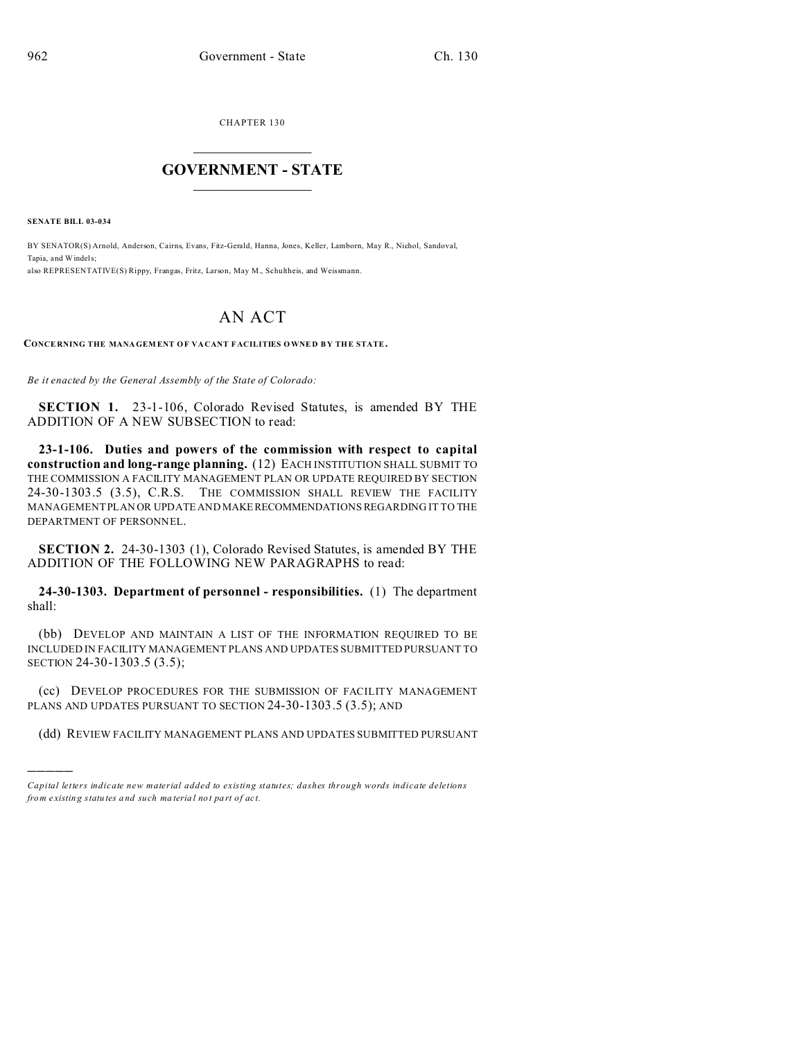CHAPTER 130  $\overline{\phantom{a}}$  , where  $\overline{\phantom{a}}$ 

## **GOVERNMENT - STATE**  $\_$   $\_$   $\_$   $\_$   $\_$   $\_$   $\_$   $\_$   $\_$

**SENATE BILL 03-034**

)))))

BY SENATOR(S) Arnold, Anderson, Cairns, Evans, Fitz-Gerald, Hanna, Jones, Keller, Lamborn, May R., Nichol, Sandoval, Tapia, and Windels; also REPRESENTATIVE(S) Rippy, Frangas, Fritz, Larson, May M., Schultheis, and Weissmann.

## AN ACT

**CONCE RNING THE MANAGEM ENT OF VA CANT F ACILITIES OWNE D B Y THE STATE.**

*Be it enacted by the General Assembly of the State of Colorado:*

**SECTION 1.** 23-1-106, Colorado Revised Statutes, is amended BY THE ADDITION OF A NEW SUBSECTION to read:

**23-1-106. Duties and powers of the commission with respect to capital construction and long-range planning.** (12) EACH INSTITUTION SHALL SUBMIT TO THE COMMISSION A FACILITY MANAGEMENT PLAN OR UPDATE REQUIRED BY SECTION 24-30-1303.5 (3.5), C.R.S. THE COMMISSION SHALL REVIEW THE FACILITY MANAGEMENT PLAN OR UPDATE AND MAKERECOMMENDATIONS REGARDING IT TO THE DEPARTMENT OF PERSONNEL.

**SECTION 2.** 24-30-1303 (1), Colorado Revised Statutes, is amended BY THE ADDITION OF THE FOLLOWING NEW PARAGRAPHS to read:

**24-30-1303. Department of personnel - responsibilities.** (1) The department shall:

(bb) DEVELOP AND MAINTAIN A LIST OF THE INFORMATION REQUIRED TO BE INCLUDED IN FACILITY MANAGEMENT PLANS AND UPDATES SUBMITTED PURSUANT TO SECTION 24-30-1303.5 (3.5);

(cc) DEVELOP PROCEDURES FOR THE SUBMISSION OF FACILITY MANAGEMENT PLANS AND UPDATES PURSUANT TO SECTION 24-30-1303.5 (3.5); AND

(dd) REVIEW FACILITY MANAGEMENT PLANS AND UPDATES SUBMITTED PURSUANT

*Capital letters indicate new material added to existing statutes; dashes through words indicate deletions from e xistin g statu tes a nd such ma teria l no t pa rt of ac t.*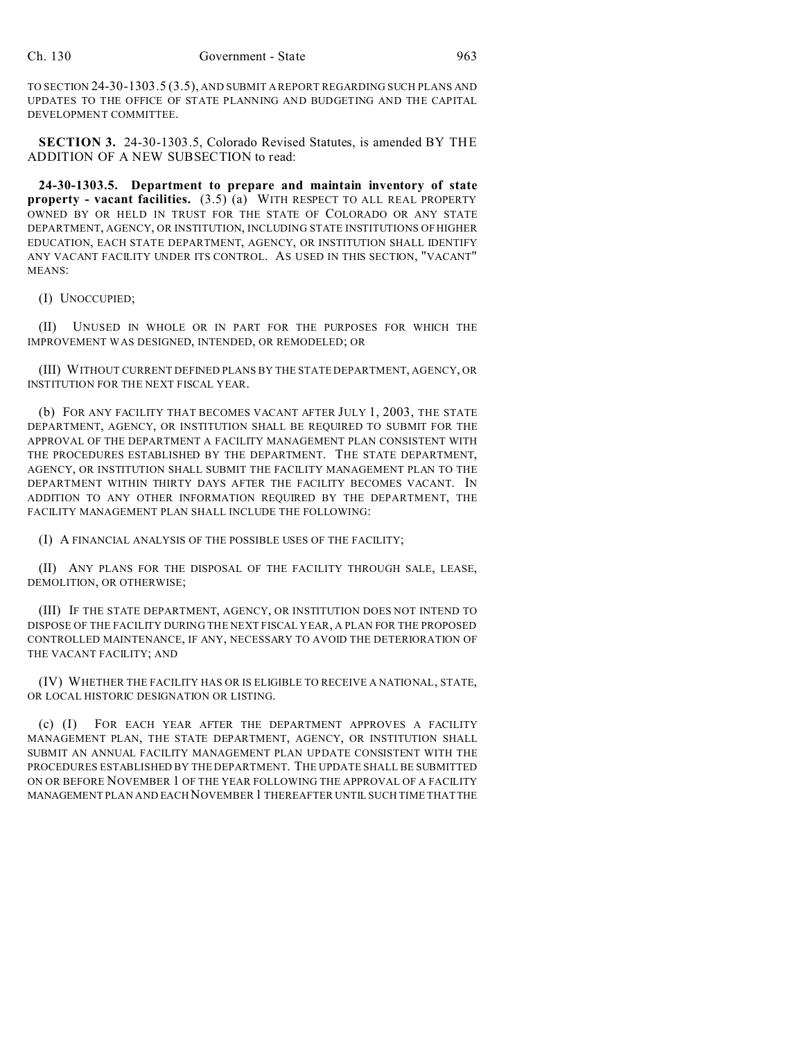TO SECTION 24-30-1303.5 (3.5), AND SUBMIT A REPORT REGARDING SUCH PLANS AND UPDATES TO THE OFFICE OF STATE PLANNING AND BUDGETING AND THE CAPITAL DEVELOPMENT COMMITTEE.

**SECTION 3.** 24-30-1303.5, Colorado Revised Statutes, is amended BY THE ADDITION OF A NEW SUBSECTION to read:

**24-30-1303.5. Department to prepare and maintain inventory of state property - vacant facilities.** (3.5) (a) WITH RESPECT TO ALL REAL PROPERTY OWNED BY OR HELD IN TRUST FOR THE STATE OF COLORADO OR ANY STATE DEPARTMENT, AGENCY, OR INSTITUTION, INCLUDING STATE INSTITUTIONS OF HIGHER EDUCATION, EACH STATE DEPARTMENT, AGENCY, OR INSTITUTION SHALL IDENTIFY ANY VACANT FACILITY UNDER ITS CONTROL. AS USED IN THIS SECTION, "VACANT" MEANS:

(I) UNOCCUPIED;

(II) UNUSED IN WHOLE OR IN PART FOR THE PURPOSES FOR WHICH THE IMPROVEMENT WAS DESIGNED, INTENDED, OR REMODELED; OR

(III) WITHOUT CURRENT DEFINED PLANS BY THE STATE DEPARTMENT, AGENCY, OR INSTITUTION FOR THE NEXT FISCAL YEAR.

(b) FOR ANY FACILITY THAT BECOMES VACANT AFTER JULY 1, 2003, THE STATE DEPARTMENT, AGENCY, OR INSTITUTION SHALL BE REQUIRED TO SUBMIT FOR THE APPROVAL OF THE DEPARTMENT A FACILITY MANAGEMENT PLAN CONSISTENT WITH THE PROCEDURES ESTABLISHED BY THE DEPARTMENT. THE STATE DEPARTMENT, AGENCY, OR INSTITUTION SHALL SUBMIT THE FACILITY MANAGEMENT PLAN TO THE DEPARTMENT WITHIN THIRTY DAYS AFTER THE FACILITY BECOMES VACANT. IN ADDITION TO ANY OTHER INFORMATION REQUIRED BY THE DEPARTMENT, THE FACILITY MANAGEMENT PLAN SHALL INCLUDE THE FOLLOWING:

(I) A FINANCIAL ANALYSIS OF THE POSSIBLE USES OF THE FACILITY;

(II) ANY PLANS FOR THE DISPOSAL OF THE FACILITY THROUGH SALE, LEASE, DEMOLITION, OR OTHERWISE;

(III) IF THE STATE DEPARTMENT, AGENCY, OR INSTITUTION DOES NOT INTEND TO DISPOSE OF THE FACILITY DURING THE NEXT FISCAL YEAR, A PLAN FOR THE PROPOSED CONTROLLED MAINTENANCE, IF ANY, NECESSARY TO AVOID THE DETERIORATION OF THE VACANT FACILITY; AND

(IV) WHETHER THE FACILITY HAS OR IS ELIGIBLE TO RECEIVE A NATIONAL, STATE, OR LOCAL HISTORIC DESIGNATION OR LISTING.

(c) (I) FOR EACH YEAR AFTER THE DEPARTMENT APPROVES A FACILITY MANAGEMENT PLAN, THE STATE DEPARTMENT, AGENCY, OR INSTITUTION SHALL SUBMIT AN ANNUAL FACILITY MANAGEMENT PLAN UPDATE CONSISTENT WITH THE PROCEDURES ESTABLISHED BY THE DEPARTMENT. THE UPDATE SHALL BE SUBMITTED ON OR BEFORE NOVEMBER 1 OF THE YEAR FOLLOWING THE APPROVAL OF A FACILITY MANAGEMENT PLAN AND EACH NOVEMBER 1 THEREAFTER UNTIL SUCH TIME THAT THE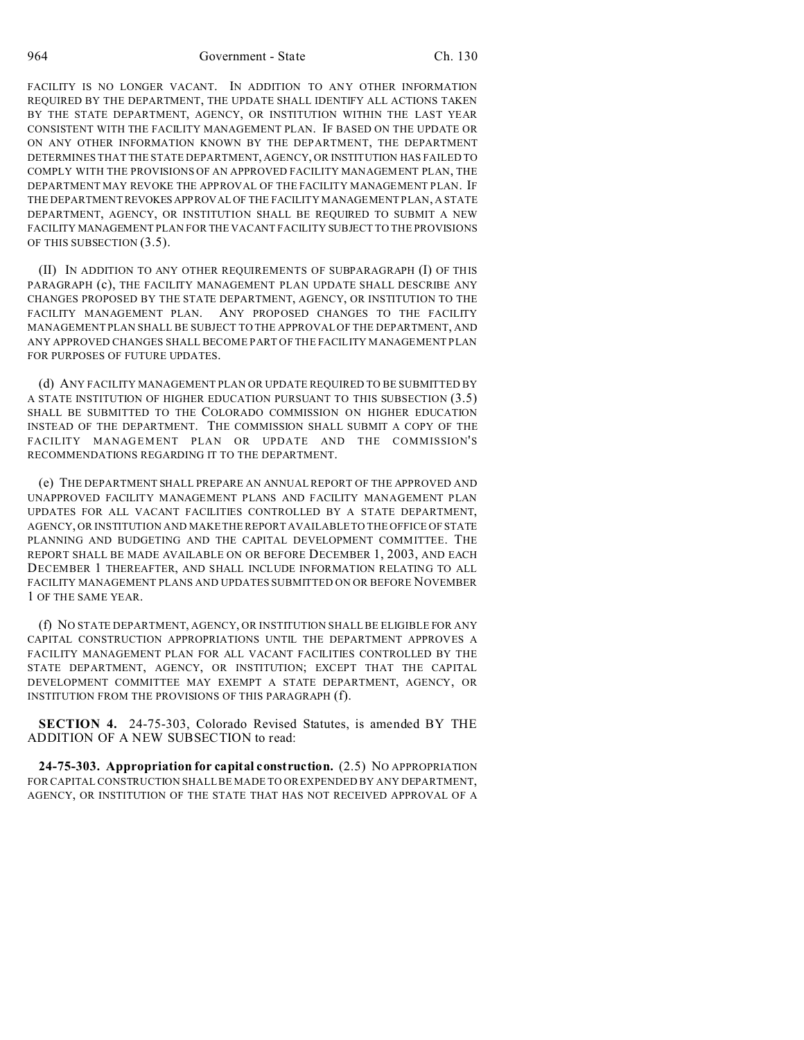964 Government - State Ch. 130

FACILITY IS NO LONGER VACANT. IN ADDITION TO ANY OTHER INFORMATION REQUIRED BY THE DEPARTMENT, THE UPDATE SHALL IDENTIFY ALL ACTIONS TAKEN BY THE STATE DEPARTMENT, AGENCY, OR INSTITUTION WITHIN THE LAST YEAR CONSISTENT WITH THE FACILITY MANAGEMENT PLAN. IF BASED ON THE UPDATE OR ON ANY OTHER INFORMATION KNOWN BY THE DEPARTMENT, THE DEPARTMENT DETERMINES THAT THE STATE DEPARTMENT, AGENCY, OR INSTITUTION HAS FAILED TO COMPLY WITH THE PROVISIONS OF AN APPROVED FACILITY MANAGEMENT PLAN, THE DEPARTMENT MAY REVOKE THE APPROVAL OF THE FACILITY MANAGEMENT PLAN. IF THE DEPARTMENTREVOKES APPROVAL OF THE FACILITY MANAGEMENT PLAN, A STATE DEPARTMENT, AGENCY, OR INSTITUTION SHALL BE REQUIRED TO SUBMIT A NEW FACILITY MANAGEMENT PLAN FOR THE VACANT FACILITY SUBJECT TO THE PROVISIONS OF THIS SUBSECTION (3.5).

(II) IN ADDITION TO ANY OTHER REQUIREMENTS OF SUBPARAGRAPH (I) OF THIS PARAGRAPH (c), THE FACILITY MANAGEMENT PLAN UPDATE SHALL DESCRIBE ANY CHANGES PROPOSED BY THE STATE DEPARTMENT, AGENCY, OR INSTITUTION TO THE FACILITY MANAGEMENT PLAN. ANY PROPOSED CHANGES TO THE FACILITY MANAGEMENT PLAN SHALL BE SUBJECT TO THE APPROVAL OF THE DEPARTMENT, AND ANY APPROVED CHANGES SHALL BECOME PART OF THE FACILITY MANAGEMENT PLAN FOR PURPOSES OF FUTURE UPDATES.

(d) ANY FACILITY MANAGEMENT PLAN OR UPDATE REQUIRED TO BE SUBMITTED BY A STATE INSTITUTION OF HIGHER EDUCATION PURSUANT TO THIS SUBSECTION (3.5) SHALL BE SUBMITTED TO THE COLORADO COMMISSION ON HIGHER EDUCATION INSTEAD OF THE DEPARTMENT. THE COMMISSION SHALL SUBMIT A COPY OF THE FACILITY MANAGEMENT PLAN OR UPDATE AND THE COMMISSION'S RECOMMENDATIONS REGARDING IT TO THE DEPARTMENT.

(e) THE DEPARTMENT SHALL PREPARE AN ANNUAL REPORT OF THE APPROVED AND UNAPPROVED FACILITY MANAGEMENT PLANS AND FACILITY MANAGEMENT PLAN UPDATES FOR ALL VACANT FACILITIES CONTROLLED BY A STATE DEPARTMENT, AGENCY, OR INSTITUTION AND MAKE THE REPORT AVAILABLE TO THE OFFICE OF STATE PLANNING AND BUDGETING AND THE CAPITAL DEVELOPMENT COMMITTEE. THE REPORT SHALL BE MADE AVAILABLE ON OR BEFORE DECEMBER 1, 2003, AND EACH DECEMBER 1 THEREAFTER, AND SHALL INCLUDE INFORMATION RELATING TO ALL FACILITY MANAGEMENT PLANS AND UPDATES SUBMITTED ON OR BEFORE NOVEMBER 1 OF THE SAME YEAR.

(f) NO STATE DEPARTMENT, AGENCY, OR INSTITUTION SHALL BE ELIGIBLE FOR ANY CAPITAL CONSTRUCTION APPROPRIATIONS UNTIL THE DEPARTMENT APPROVES A FACILITY MANAGEMENT PLAN FOR ALL VACANT FACILITIES CONTROLLED BY THE STATE DEPARTMENT, AGENCY, OR INSTITUTION; EXCEPT THAT THE CAPITAL DEVELOPMENT COMMITTEE MAY EXEMPT A STATE DEPARTMENT, AGENCY, OR INSTITUTION FROM THE PROVISIONS OF THIS PARAGRAPH (f).

**SECTION 4.** 24-75-303, Colorado Revised Statutes, is amended BY THE ADDITION OF A NEW SUBSECTION to read:

**24-75-303. Appropriation for capital construction.** (2.5) NO APPROPRIATION FOR CAPITAL CONSTRUCTION SHALL BE MADE TO OR EXPENDED BY ANY DEPARTMENT, AGENCY, OR INSTITUTION OF THE STATE THAT HAS NOT RECEIVED APPROVAL OF A